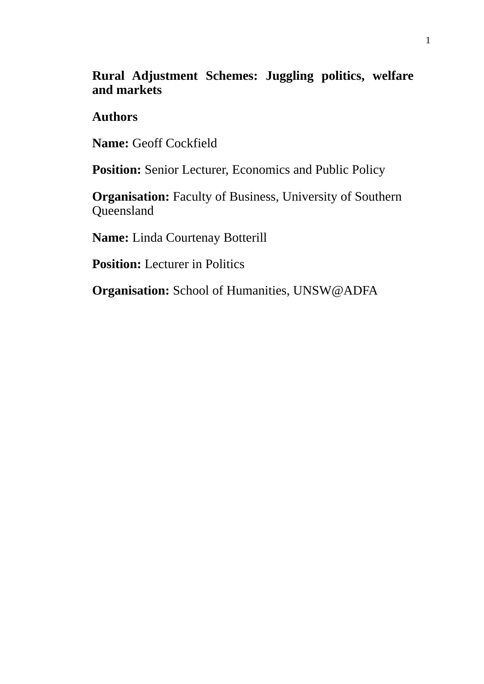# **Rural Adjustment Schemes: Juggling politics, welfare and markets**

## **Authors**

**Name:** Geoff Cockfield

Position: Senior Lecturer, Economics and Public Policy

**Organisation:** Faculty of Business, University of Southern Queensland

**Name:** Linda Courtenay Botterill

**Position:** Lecturer in Politics

**Organisation:** School of Humanities, UNSW@ADFA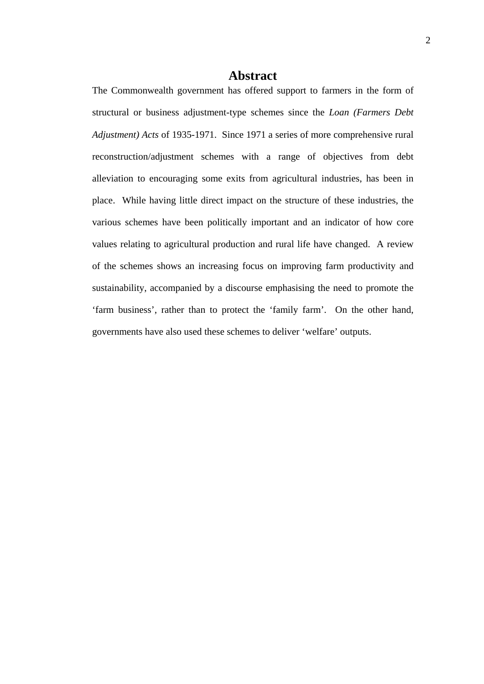### **Abstract**

The Commonwealth government has offered support to farmers in the form of structural or business adjustment-type schemes since the *Loan (Farmers Debt Adjustment) Acts* of 1935-1971. Since 1971 a series of more comprehensive rural reconstruction/adjustment schemes with a range of objectives from debt alleviation to encouraging some exits from agricultural industries, has been in place. While having little direct impact on the structure of these industries, the various schemes have been politically important and an indicator of how core values relating to agricultural production and rural life have changed. A review of the schemes shows an increasing focus on improving farm productivity and sustainability, accompanied by a discourse emphasising the need to promote the 'farm business', rather than to protect the 'family farm'. On the other hand, governments have also used these schemes to deliver 'welfare' outputs.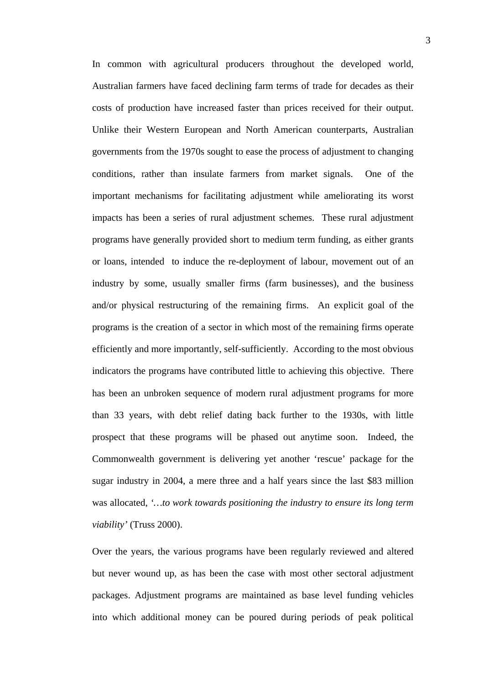In common with agricultural producers throughout the developed world, Australian farmers have faced declining farm terms of trade for decades as their costs of production have increased faster than prices received for their output. Unlike their Western European and North American counterparts, Australian governments from the 1970s sought to ease the process of adjustment to changing conditions, rather than insulate farmers from market signals. One of the important mechanisms for facilitating adjustment while ameliorating its worst impacts has been a series of rural adjustment schemes. These rural adjustment programs have generally provided short to medium term funding, as either grants or loans, intended to induce the re-deployment of labour, movement out of an industry by some, usually smaller firms (farm businesses), and the business and/or physical restructuring of the remaining firms. An explicit goal of the programs is the creation of a sector in which most of the remaining firms operate efficiently and more importantly, self-sufficiently. According to the most obvious indicators the programs have contributed little to achieving this objective. There has been an unbroken sequence of modern rural adjustment programs for more than 33 years, with debt relief dating back further to the 1930s, with little prospect that these programs will be phased out anytime soon. Indeed, the Commonwealth government is delivering yet another 'rescue' package for the sugar industry in 2004, a mere three and a half years since the last \$83 million was allocated, *'…to work towards positioning the industry to ensure its long term viability'* (Truss 2000).

Over the years, the various programs have been regularly reviewed and altered but never wound up, as has been the case with most other sectoral adjustment packages. Adjustment programs are maintained as base level funding vehicles into which additional money can be poured during periods of peak political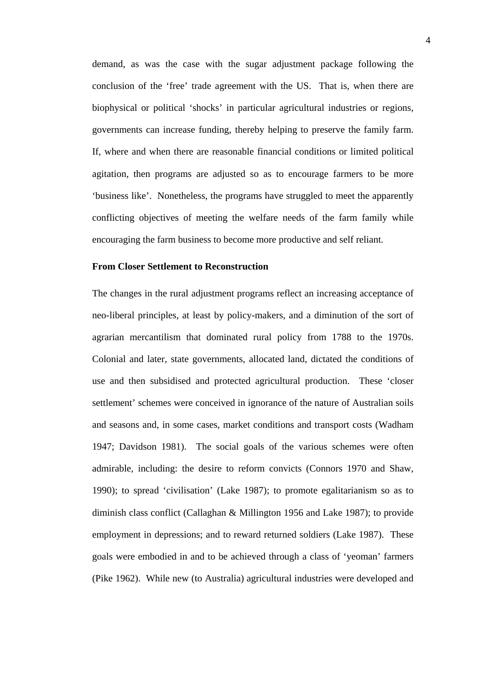demand, as was the case with the sugar adjustment package following the conclusion of the 'free' trade agreement with the US. That is, when there are biophysical or political 'shocks' in particular agricultural industries or regions, governments can increase funding, thereby helping to preserve the family farm. If, where and when there are reasonable financial conditions or limited political agitation, then programs are adjusted so as to encourage farmers to be more 'business like'. Nonetheless, the programs have struggled to meet the apparently conflicting objectives of meeting the welfare needs of the farm family while encouraging the farm business to become more productive and self reliant.

#### **From Closer Settlement to Reconstruction**

The changes in the rural adjustment programs reflect an increasing acceptance of neo-liberal principles, at least by policy-makers, and a diminution of the sort of agrarian mercantilism that dominated rural policy from 1788 to the 1970s. Colonial and later, state governments, allocated land, dictated the conditions of use and then subsidised and protected agricultural production. These 'closer settlement' schemes were conceived in ignorance of the nature of Australian soils and seasons and, in some cases, market conditions and transport costs (Wadham 1947; Davidson 1981). The social goals of the various schemes were often admirable, including: the desire to reform convicts (Connors 1970 and Shaw, 1990); to spread 'civilisation' (Lake 1987); to promote egalitarianism so as to diminish class conflict (Callaghan & Millington 1956 and Lake 1987); to provide employment in depressions; and to reward returned soldiers (Lake 1987). These goals were embodied in and to be achieved through a class of 'yeoman' farmers (Pike 1962). While new (to Australia) agricultural industries were developed and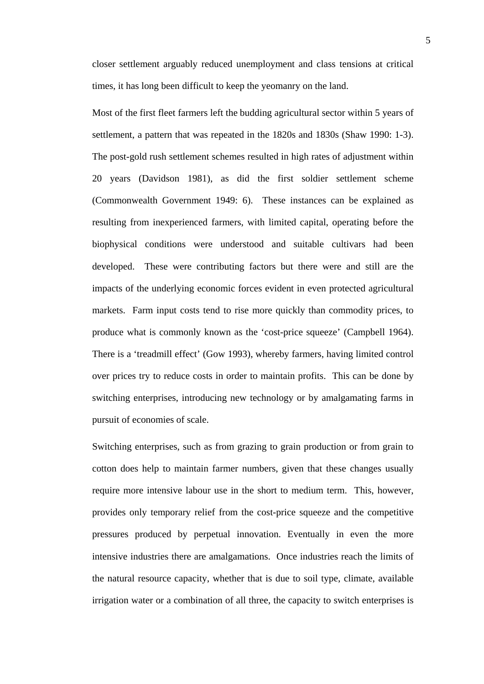closer settlement arguably reduced unemployment and class tensions at critical times, it has long been difficult to keep the yeomanry on the land.

Most of the first fleet farmers left the budding agricultural sector within 5 years of settlement, a pattern that was repeated in the 1820s and 1830s (Shaw 1990: 1-3). The post-gold rush settlement schemes resulted in high rates of adjustment within 20 years (Davidson 1981), as did the first soldier settlement scheme (Commonwealth Government 1949: 6). These instances can be explained as resulting from inexperienced farmers, with limited capital, operating before the biophysical conditions were understood and suitable cultivars had been developed. These were contributing factors but there were and still are the impacts of the underlying economic forces evident in even protected agricultural markets. Farm input costs tend to rise more quickly than commodity prices, to produce what is commonly known as the 'cost-price squeeze' (Campbell 1964). There is a 'treadmill effect' (Gow 1993), whereby farmers, having limited control over prices try to reduce costs in order to maintain profits. This can be done by switching enterprises, introducing new technology or by amalgamating farms in pursuit of economies of scale.

Switching enterprises, such as from grazing to grain production or from grain to cotton does help to maintain farmer numbers, given that these changes usually require more intensive labour use in the short to medium term. This, however, provides only temporary relief from the cost-price squeeze and the competitive pressures produced by perpetual innovation. Eventually in even the more intensive industries there are amalgamations. Once industries reach the limits of the natural resource capacity, whether that is due to soil type, climate, available irrigation water or a combination of all three, the capacity to switch enterprises is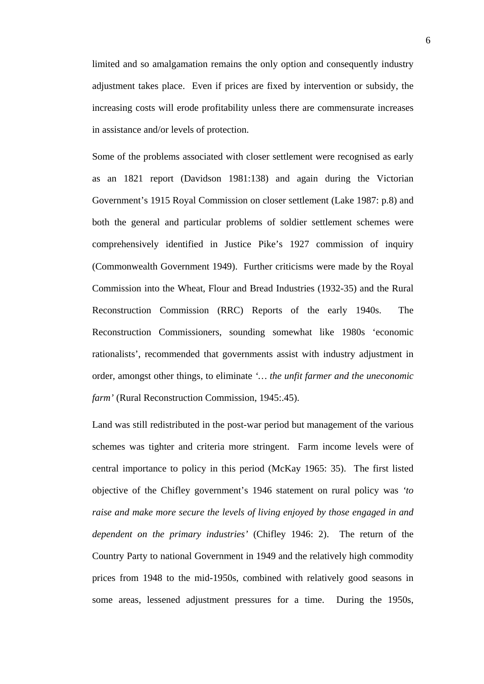limited and so amalgamation remains the only option and consequently industry adjustment takes place. Even if prices are fixed by intervention or subsidy, the increasing costs will erode profitability unless there are commensurate increases in assistance and/or levels of protection.

Some of the problems associated with closer settlement were recognised as early as an 1821 report (Davidson 1981:138) and again during the Victorian Government's 1915 Royal Commission on closer settlement (Lake 1987: p.8) and both the general and particular problems of soldier settlement schemes were comprehensively identified in Justice Pike's 1927 commission of inquiry (Commonwealth Government 1949). Further criticisms were made by the Royal Commission into the Wheat, Flour and Bread Industries (1932-35) and the Rural Reconstruction Commission (RRC) Reports of the early 1940s. The Reconstruction Commissioners, sounding somewhat like 1980s 'economic rationalists', recommended that governments assist with industry adjustment in order, amongst other things, to eliminate *'… the unfit farmer and the uneconomic farm'* (Rural Reconstruction Commission, 1945:.45).

Land was still redistributed in the post-war period but management of the various schemes was tighter and criteria more stringent. Farm income levels were of central importance to policy in this period (McKay 1965: 35). The first listed objective of the Chifley government's 1946 statement on rural policy was *'to raise and make more secure the levels of living enjoyed by those engaged in and dependent on the primary industries'* (Chifley 1946: 2). The return of the Country Party to national Government in 1949 and the relatively high commodity prices from 1948 to the mid-1950s, combined with relatively good seasons in some areas, lessened adjustment pressures for a time. During the 1950s,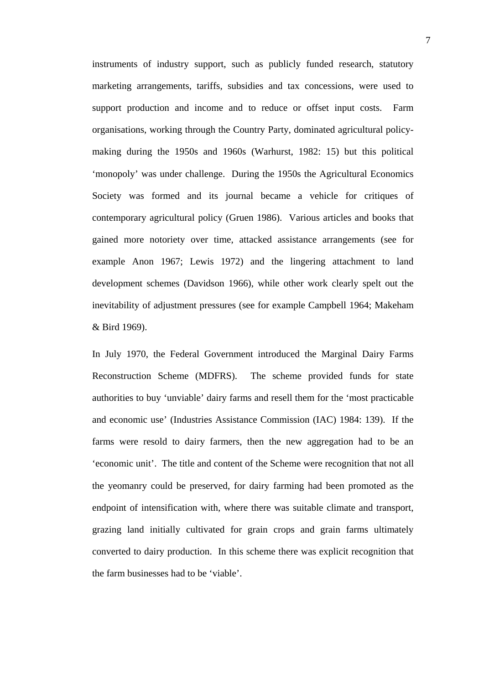instruments of industry support, such as publicly funded research, statutory marketing arrangements, tariffs, subsidies and tax concessions, were used to support production and income and to reduce or offset input costs. Farm organisations, working through the Country Party, dominated agricultural policymaking during the 1950s and 1960s (Warhurst, 1982: 15) but this political 'monopoly' was under challenge. During the 1950s the Agricultural Economics Society was formed and its journal became a vehicle for critiques of contemporary agricultural policy (Gruen 1986). Various articles and books that gained more notoriety over time, attacked assistance arrangements (see for example Anon 1967; Lewis 1972) and the lingering attachment to land development schemes (Davidson 1966), while other work clearly spelt out the inevitability of adjustment pressures (see for example Campbell 1964; Makeham & Bird 1969).

In July 1970, the Federal Government introduced the Marginal Dairy Farms Reconstruction Scheme (MDFRS). The scheme provided funds for state authorities to buy 'unviable' dairy farms and resell them for the 'most practicable and economic use' (Industries Assistance Commission (IAC) 1984: 139). If the farms were resold to dairy farmers, then the new aggregation had to be an 'economic unit'. The title and content of the Scheme were recognition that not all the yeomanry could be preserved, for dairy farming had been promoted as the endpoint of intensification with, where there was suitable climate and transport, grazing land initially cultivated for grain crops and grain farms ultimately converted to dairy production. In this scheme there was explicit recognition that the farm businesses had to be 'viable'.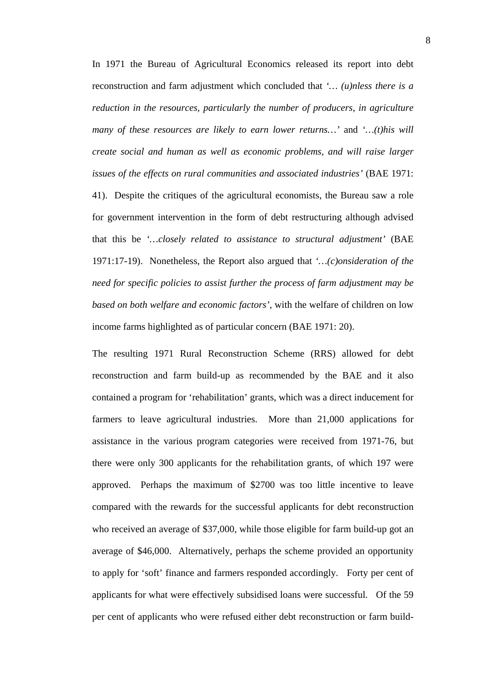In 1971 the Bureau of Agricultural Economics released its report into debt reconstruction and farm adjustment which concluded that *'… (u)nless there is a reduction in the resources, particularly the number of producers, in agriculture many of these resources are likely to earn lower returns…'* and *'…(t)his will create social and human as well as economic problems, and will raise larger issues of the effects on rural communities and associated industries'* (BAE 1971: 41). Despite the critiques of the agricultural economists, the Bureau saw a role for government intervention in the form of debt restructuring although advised that this be *'…closely related to assistance to structural adjustment'* (BAE 1971:17-19). Nonetheless, the Report also argued that *'…(c)onsideration of the need for specific policies to assist further the process of farm adjustment may be based on both welfare and economic factors'*, with the welfare of children on low income farms highlighted as of particular concern (BAE 1971: 20).

The resulting 1971 Rural Reconstruction Scheme (RRS) allowed for debt reconstruction and farm build-up as recommended by the BAE and it also contained a program for 'rehabilitation' grants, which was a direct inducement for farmers to leave agricultural industries. More than 21,000 applications for assistance in the various program categories were received from 1971-76, but there were only 300 applicants for the rehabilitation grants, of which 197 were approved. Perhaps the maximum of \$2700 was too little incentive to leave compared with the rewards for the successful applicants for debt reconstruction who received an average of \$37,000, while those eligible for farm build-up got an average of \$46,000. Alternatively, perhaps the scheme provided an opportunity to apply for 'soft' finance and farmers responded accordingly. Forty per cent of applicants for what were effectively subsidised loans were successful. Of the 59 per cent of applicants who were refused either debt reconstruction or farm build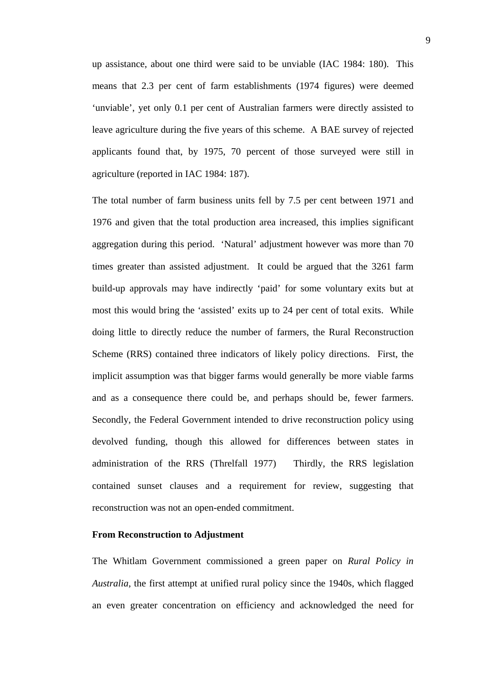up assistance, about one third were said to be unviable (IAC 1984: 180). This means that 2.3 per cent of farm establishments (1974 figures) were deemed 'unviable', yet only 0.1 per cent of Australian farmers were directly assisted to leave agriculture during the five years of this scheme. A BAE survey of rejected applicants found that, by 1975, 70 percent of those surveyed were still in agriculture (reported in IAC 1984: 187).

The total number of farm business units fell by 7.5 per cent between 1971 and 1976 and given that the total production area increased, this implies significant aggregation during this period. 'Natural' adjustment however was more than 70 times greater than assisted adjustment. It could be argued that the 3261 farm build-up approvals may have indirectly 'paid' for some voluntary exits but at most this would bring the 'assisted' exits up to 24 per cent of total exits. While doing little to directly reduce the number of farmers, the Rural Reconstruction Scheme (RRS) contained three indicators of likely policy directions. First, the implicit assumption was that bigger farms would generally be more viable farms and as a consequence there could be, and perhaps should be, fewer farmers. Secondly, the Federal Government intended to drive reconstruction policy using devolved funding, though this allowed for differences between states in administration of the RRS (Threlfall 1977) Thirdly, the RRS legislation contained sunset clauses and a requirement for review, suggesting that reconstruction was not an open-ended commitment.

#### **From Reconstruction to Adjustment**

The Whitlam Government commissioned a green paper on *Rural Policy in Australia*, the first attempt at unified rural policy since the 1940s, which flagged an even greater concentration on efficiency and acknowledged the need for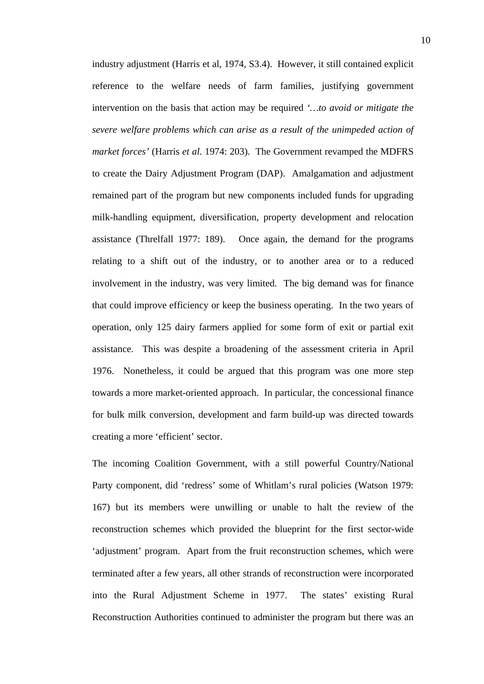industry adjustment (Harris et al, 1974, S3.4). However, it still contained explicit reference to the welfare needs of farm families, justifying government intervention on the basis that action may be required *'…to avoid or mitigate the severe welfare problems which can arise as a result of the unimpeded action of market forces'* (Harris *et al.* 1974: 203). The Government revamped the MDFRS to create the Dairy Adjustment Program (DAP). Amalgamation and adjustment remained part of the program but new components included funds for upgrading milk-handling equipment, diversification, property development and relocation assistance (Threlfall 1977: 189). Once again, the demand for the programs relating to a shift out of the industry, or to another area or to a reduced involvement in the industry, was very limited. The big demand was for finance that could improve efficiency or keep the business operating. In the two years of operation, only 125 dairy farmers applied for some form of exit or partial exit assistance. This was despite a broadening of the assessment criteria in April 1976. Nonetheless, it could be argued that this program was one more step towards a more market-oriented approach. In particular, the concessional finance for bulk milk conversion, development and farm build-up was directed towards creating a more 'efficient' sector.

The incoming Coalition Government, with a still powerful Country/National Party component, did 'redress' some of Whitlam's rural policies (Watson 1979: 167) but its members were unwilling or unable to halt the review of the reconstruction schemes which provided the blueprint for the first sector-wide 'adjustment' program. Apart from the fruit reconstruction schemes, which were terminated after a few years, all other strands of reconstruction were incorporated into the Rural Adjustment Scheme in 1977. The states' existing Rural Reconstruction Authorities continued to administer the program but there was an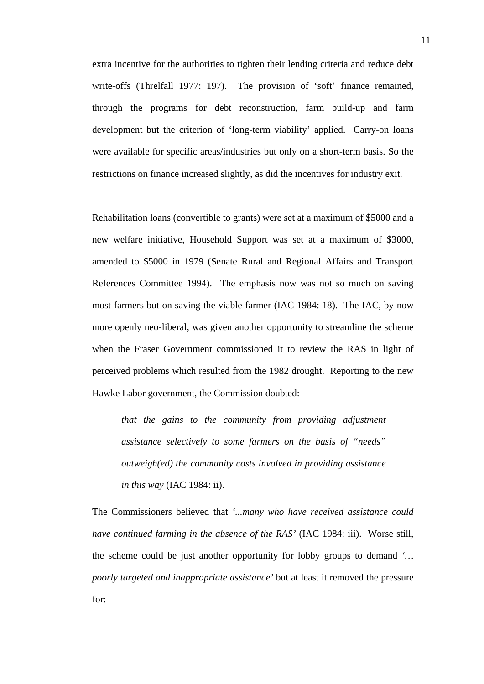extra incentive for the authorities to tighten their lending criteria and reduce debt write-offs (Threlfall 1977: 197). The provision of 'soft' finance remained, through the programs for debt reconstruction, farm build-up and farm development but the criterion of 'long-term viability' applied. Carry-on loans were available for specific areas/industries but only on a short-term basis. So the restrictions on finance increased slightly, as did the incentives for industry exit.

Rehabilitation loans (convertible to grants) were set at a maximum of \$5000 and a new welfare initiative, Household Support was set at a maximum of \$3000, amended to \$5000 in 1979 (Senate Rural and Regional Affairs and Transport References Committee 1994). The emphasis now was not so much on saving most farmers but on saving the viable farmer (IAC 1984: 18). The IAC, by now more openly neo-liberal, was given another opportunity to streamline the scheme when the Fraser Government commissioned it to review the RAS in light of perceived problems which resulted from the 1982 drought. Reporting to the new Hawke Labor government, the Commission doubted:

*that the gains to the community from providing adjustment assistance selectively to some farmers on the basis of "needs" outweigh(ed) the community costs involved in providing assistance in this way* (IAC 1984: ii).

The Commissioners believed that *'...many who have received assistance could have continued farming in the absence of the RAS'* (IAC 1984: iii). Worse still, the scheme could be just another opportunity for lobby groups to demand *'… poorly targeted and inappropriate assistance'* but at least it removed the pressure for: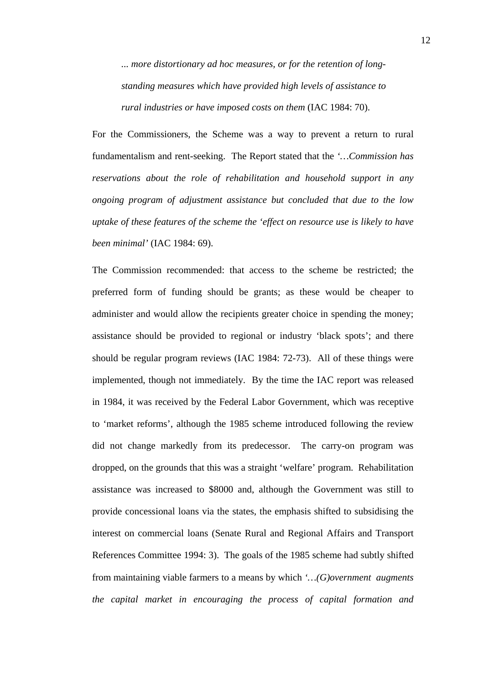*... more distortionary ad hoc measures, or for the retention of longstanding measures which have provided high levels of assistance to rural industries or have imposed costs on them* (IAC 1984: 70).

For the Commissioners, the Scheme was a way to prevent a return to rural fundamentalism and rent-seeking. The Report stated that the *'…Commission has reservations about the role of rehabilitation and household support in any ongoing program of adjustment assistance but concluded that due to the low uptake of these features of the scheme the 'effect on resource use is likely to have been minimal'* (IAC 1984: 69).

The Commission recommended: that access to the scheme be restricted; the preferred form of funding should be grants; as these would be cheaper to administer and would allow the recipients greater choice in spending the money; assistance should be provided to regional or industry 'black spots'; and there should be regular program reviews (IAC 1984: 72-73). All of these things were implemented, though not immediately. By the time the IAC report was released in 1984, it was received by the Federal Labor Government, which was receptive to 'market reforms', although the 1985 scheme introduced following the review did not change markedly from its predecessor. The carry-on program was dropped, on the grounds that this was a straight 'welfare' program. Rehabilitation assistance was increased to \$8000 and, although the Government was still to provide concessional loans via the states, the emphasis shifted to subsidising the interest on commercial loans (Senate Rural and Regional Affairs and Transport References Committee 1994: 3). The goals of the 1985 scheme had subtly shifted from maintaining viable farmers to a means by which *'…(G)overnment augments the capital market in encouraging the process of capital formation and*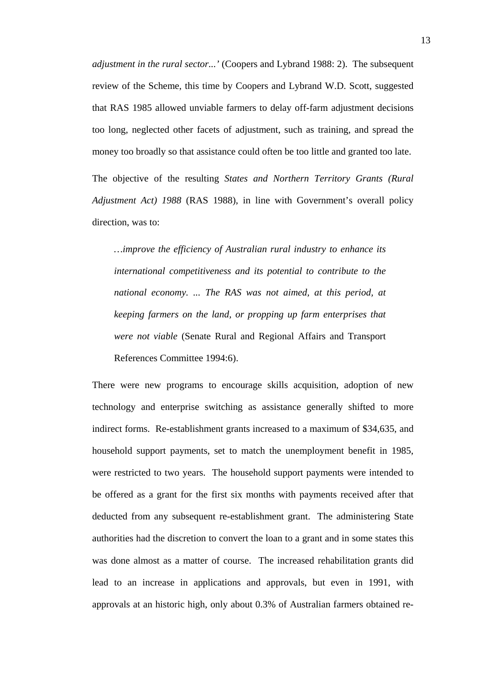*adjustment in the rural sector...'* (Coopers and Lybrand 1988: 2). The subsequent review of the Scheme, this time by Coopers and Lybrand W.D. Scott, suggested that RAS 1985 allowed unviable farmers to delay off-farm adjustment decisions too long, neglected other facets of adjustment, such as training, and spread the money too broadly so that assistance could often be too little and granted too late.

The objective of the resulting *States and Northern Territory Grants (Rural Adjustment Act) 1988* (RAS 1988), in line with Government's overall policy direction, was to:

*…improve the efficiency of Australian rural industry to enhance its international competitiveness and its potential to contribute to the national economy. ... The RAS was not aimed, at this period, at keeping farmers on the land, or propping up farm enterprises that were not viable* (Senate Rural and Regional Affairs and Transport References Committee 1994:6).

There were new programs to encourage skills acquisition, adoption of new technology and enterprise switching as assistance generally shifted to more indirect forms. Re-establishment grants increased to a maximum of \$34,635, and household support payments, set to match the unemployment benefit in 1985, were restricted to two years. The household support payments were intended to be offered as a grant for the first six months with payments received after that deducted from any subsequent re-establishment grant. The administering State authorities had the discretion to convert the loan to a grant and in some states this was done almost as a matter of course. The increased rehabilitation grants did lead to an increase in applications and approvals, but even in 1991, with approvals at an historic high, only about 0.3% of Australian farmers obtained re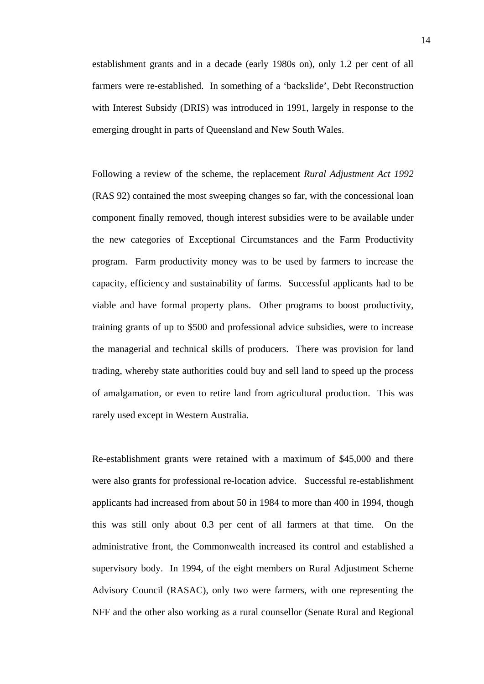establishment grants and in a decade (early 1980s on), only 1.2 per cent of all farmers were re-established. In something of a 'backslide', Debt Reconstruction with Interest Subsidy (DRIS) was introduced in 1991, largely in response to the emerging drought in parts of Queensland and New South Wales.

Following a review of the scheme, the replacement *Rural Adjustment Act 1992*  (RAS 92) contained the most sweeping changes so far, with the concessional loan component finally removed, though interest subsidies were to be available under the new categories of Exceptional Circumstances and the Farm Productivity program. Farm productivity money was to be used by farmers to increase the capacity, efficiency and sustainability of farms. Successful applicants had to be viable and have formal property plans. Other programs to boost productivity, training grants of up to \$500 and professional advice subsidies, were to increase the managerial and technical skills of producers. There was provision for land trading, whereby state authorities could buy and sell land to speed up the process of amalgamation, or even to retire land from agricultural production. This was rarely used except in Western Australia.

Re-establishment grants were retained with a maximum of \$45,000 and there were also grants for professional re-location advice. Successful re-establishment applicants had increased from about 50 in 1984 to more than 400 in 1994, though this was still only about 0.3 per cent of all farmers at that time. On the administrative front, the Commonwealth increased its control and established a supervisory body. In 1994, of the eight members on Rural Adjustment Scheme Advisory Council (RASAC), only two were farmers, with one representing the NFF and the other also working as a rural counsellor (Senate Rural and Regional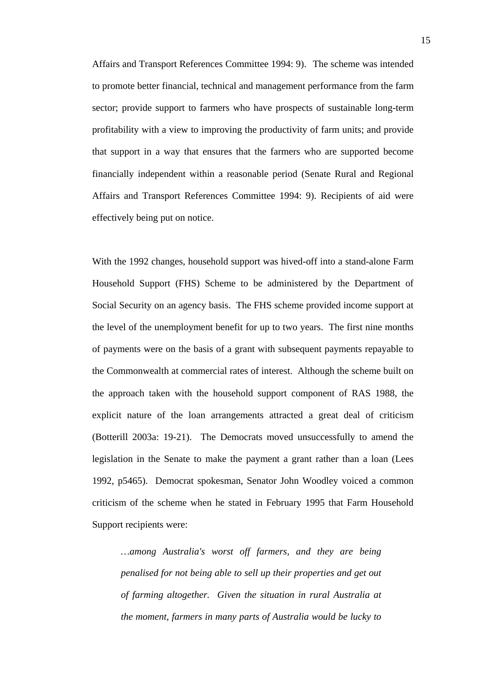Affairs and Transport References Committee 1994: 9). The scheme was intended to promote better financial, technical and management performance from the farm sector; provide support to farmers who have prospects of sustainable long-term profitability with a view to improving the productivity of farm units; and provide that support in a way that ensures that the farmers who are supported become financially independent within a reasonable period (Senate Rural and Regional Affairs and Transport References Committee 1994: 9). Recipients of aid were effectively being put on notice.

With the 1992 changes, household support was hived-off into a stand-alone Farm Household Support (FHS) Scheme to be administered by the Department of Social Security on an agency basis. The FHS scheme provided income support at the level of the unemployment benefit for up to two years. The first nine months of payments were on the basis of a grant with subsequent payments repayable to the Commonwealth at commercial rates of interest. Although the scheme built on the approach taken with the household support component of RAS 1988, the explicit nature of the loan arrangements attracted a great deal of criticism (Botterill 2003a: 19-21). The Democrats moved unsuccessfully to amend the legislation in the Senate to make the payment a grant rather than a loan (Lees 1992, p5465). Democrat spokesman, Senator John Woodley voiced a common criticism of the scheme when he stated in February 1995 that Farm Household Support recipients were:

*…among Australia's worst off farmers, and they are being penalised for not being able to sell up their properties and get out of farming altogether. Given the situation in rural Australia at the moment, farmers in many parts of Australia would be lucky to*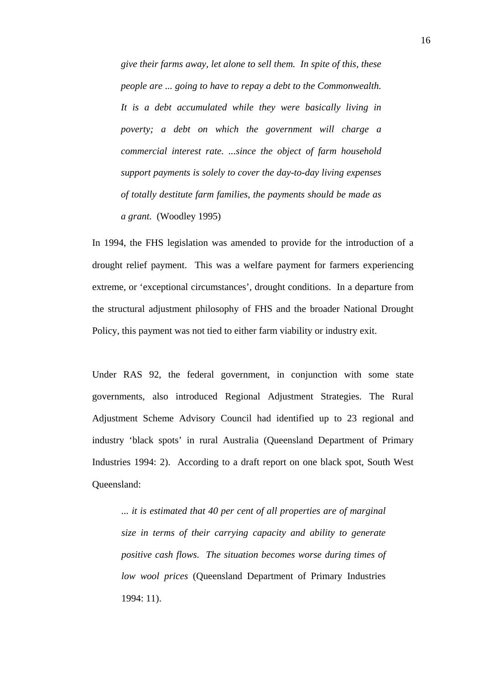*give their farms away, let alone to sell them. In spite of this, these people are ... going to have to repay a debt to the Commonwealth. It is a debt accumulated while they were basically living in poverty; a debt on which the government will charge a commercial interest rate. ...since the object of farm household support payments is solely to cover the day-to-day living expenses of totally destitute farm families, the payments should be made as a grant.* (Woodley 1995)

In 1994, the FHS legislation was amended to provide for the introduction of a drought relief payment. This was a welfare payment for farmers experiencing extreme, or 'exceptional circumstances', drought conditions. In a departure from the structural adjustment philosophy of FHS and the broader National Drought Policy, this payment was not tied to either farm viability or industry exit.

Under RAS 92, the federal government, in conjunction with some state governments, also introduced Regional Adjustment Strategies. The Rural Adjustment Scheme Advisory Council had identified up to 23 regional and industry 'black spots' in rural Australia (Queensland Department of Primary Industries 1994: 2). According to a draft report on one black spot, South West Queensland:

*... it is estimated that 40 per cent of all properties are of marginal size in terms of their carrying capacity and ability to generate positive cash flows. The situation becomes worse during times of low wool prices* (Queensland Department of Primary Industries 1994: 11).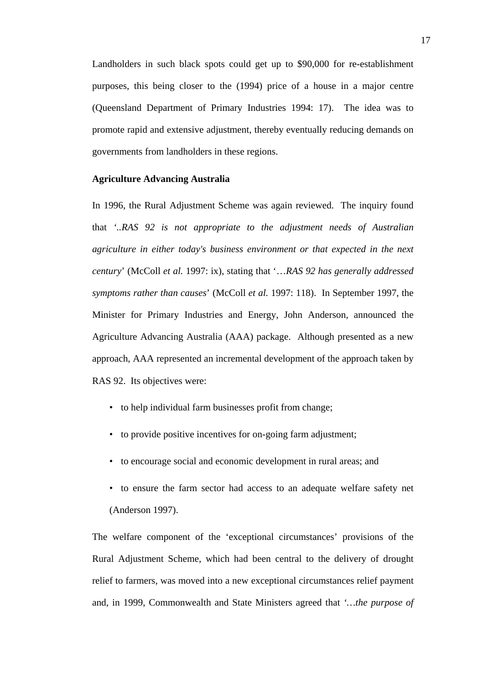Landholders in such black spots could get up to \$90,000 for re-establishment purposes, this being closer to the (1994) price of a house in a major centre (Queensland Department of Primary Industries 1994: 17). The idea was to promote rapid and extensive adjustment, thereby eventually reducing demands on governments from landholders in these regions.

#### **Agriculture Advancing Australia**

In 1996, the Rural Adjustment Scheme was again reviewed. The inquiry found that *'..RAS 92 is not appropriate to the adjustment needs of Australian agriculture in either today's business environment or that expected in the next century*' (McColl *et al.* 1997: ix), stating that '…*RAS 92 has generally addressed symptoms rather than causes*' (McColl *et al.* 1997: 118). In September 1997, the Minister for Primary Industries and Energy, John Anderson, announced the Agriculture Advancing Australia (AAA) package. Although presented as a new approach, AAA represented an incremental development of the approach taken by RAS 92. Its objectives were:

- to help individual farm businesses profit from change;
- to provide positive incentives for on-going farm adjustment;
- to encourage social and economic development in rural areas; and
- to ensure the farm sector had access to an adequate welfare safety net (Anderson 1997).

The welfare component of the 'exceptional circumstances' provisions of the Rural Adjustment Scheme, which had been central to the delivery of drought relief to farmers, was moved into a new exceptional circumstances relief payment and, in 1999, Commonwealth and State Ministers agreed that *'…the purpose of*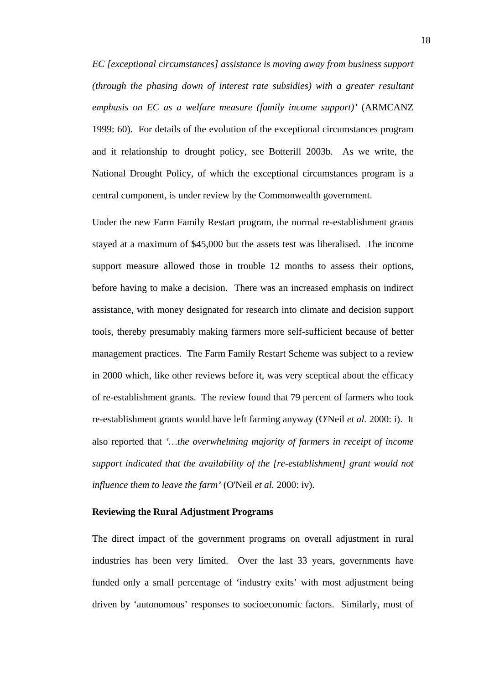*EC [exceptional circumstances] assistance is moving away from business support (through the phasing down of interest rate subsidies) with a greater resultant emphasis on EC as a welfare measure (family income support)'* (ARMCANZ 1999: 60). For details of the evolution of the exceptional circumstances program and it relationship to drought policy, see Botterill 2003b. As we write, the National Drought Policy, of which the exceptional circumstances program is a central component, is under review by the Commonwealth government.

Under the new Farm Family Restart program, the normal re-establishment grants stayed at a maximum of \$45,000 but the assets test was liberalised. The income support measure allowed those in trouble 12 months to assess their options, before having to make a decision. There was an increased emphasis on indirect assistance, with money designated for research into climate and decision support tools, thereby presumably making farmers more self-sufficient because of better management practices. The Farm Family Restart Scheme was subject to a review in 2000 which, like other reviews before it, was very sceptical about the efficacy of re-establishment grants. The review found that 79 percent of farmers who took re-establishment grants would have left farming anyway (O'Neil *et al.* 2000: i). It also reported that *'…the overwhelming majority of farmers in receipt of income support indicated that the availability of the [re-establishment] grant would not influence them to leave the farm'* (O'Neil *et al.* 2000: iv).

### **Reviewing the Rural Adjustment Programs**

The direct impact of the government programs on overall adjustment in rural industries has been very limited. Over the last 33 years, governments have funded only a small percentage of 'industry exits' with most adjustment being driven by 'autonomous' responses to socioeconomic factors. Similarly, most of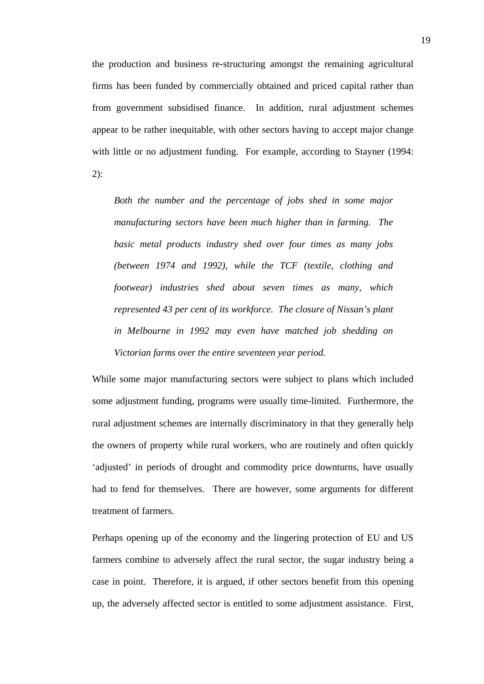the production and business re-structuring amongst the remaining agricultural firms has been funded by commercially obtained and priced capital rather than from government subsidised finance. In addition, rural adjustment schemes appear to be rather inequitable, with other sectors having to accept major change with little or no adjustment funding. For example, according to Stayner (1994: 2):

*Both the number and the percentage of jobs shed in some major manufacturing sectors have been much higher than in farming. The basic metal products industry shed over four times as many jobs (between 1974 and 1992), while the TCF (textile, clothing and footwear) industries shed about seven times as many, which represented 43 per cent of its workforce. The closure of Nissan's plant in Melbourne in 1992 may even have matched job shedding on Victorian farms over the entire seventeen year period.* 

While some major manufacturing sectors were subject to plans which included some adjustment funding, programs were usually time-limited. Furthermore, the rural adjustment schemes are internally discriminatory in that they generally help the owners of property while rural workers, who are routinely and often quickly 'adjusted' in periods of drought and commodity price downturns, have usually had to fend for themselves. There are however, some arguments for different treatment of farmers.

Perhaps opening up of the economy and the lingering protection of EU and US farmers combine to adversely affect the rural sector, the sugar industry being a case in point. Therefore, it is argued, if other sectors benefit from this opening up, the adversely affected sector is entitled to some adjustment assistance. First,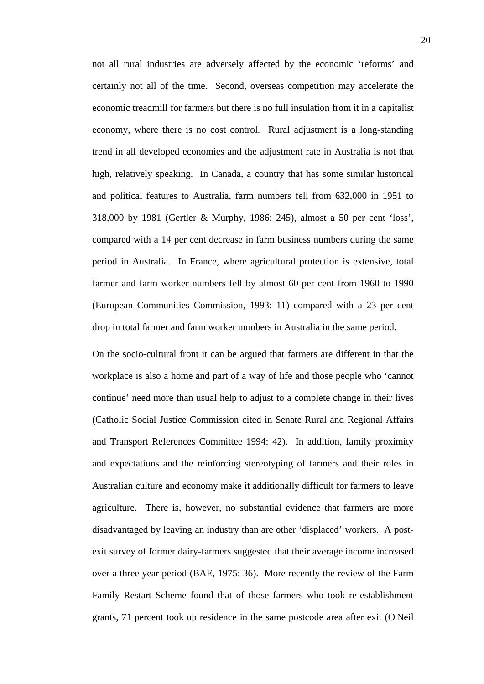not all rural industries are adversely affected by the economic 'reforms' and certainly not all of the time. Second, overseas competition may accelerate the economic treadmill for farmers but there is no full insulation from it in a capitalist economy, where there is no cost control. Rural adjustment is a long-standing trend in all developed economies and the adjustment rate in Australia is not that high, relatively speaking. In Canada, a country that has some similar historical and political features to Australia, farm numbers fell from 632,000 in 1951 to 318,000 by 1981 (Gertler & Murphy, 1986: 245), almost a 50 per cent 'loss', compared with a 14 per cent decrease in farm business numbers during the same period in Australia. In France, where agricultural protection is extensive, total farmer and farm worker numbers fell by almost 60 per cent from 1960 to 1990 (European Communities Commission, 1993: 11) compared with a 23 per cent drop in total farmer and farm worker numbers in Australia in the same period.

On the socio-cultural front it can be argued that farmers are different in that the workplace is also a home and part of a way of life and those people who 'cannot continue' need more than usual help to adjust to a complete change in their lives (Catholic Social Justice Commission cited in Senate Rural and Regional Affairs and Transport References Committee 1994: 42). In addition, family proximity and expectations and the reinforcing stereotyping of farmers and their roles in Australian culture and economy make it additionally difficult for farmers to leave agriculture. There is, however, no substantial evidence that farmers are more disadvantaged by leaving an industry than are other 'displaced' workers. A postexit survey of former dairy-farmers suggested that their average income increased over a three year period (BAE, 1975: 36). More recently the review of the Farm Family Restart Scheme found that of those farmers who took re-establishment grants, 71 percent took up residence in the same postcode area after exit (O'Neil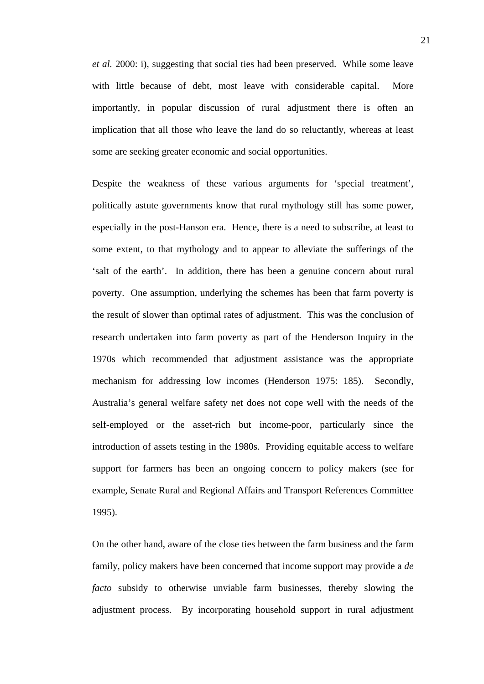*et al.* 2000: i), suggesting that social ties had been preserved. While some leave with little because of debt, most leave with considerable capital. More importantly, in popular discussion of rural adjustment there is often an implication that all those who leave the land do so reluctantly, whereas at least some are seeking greater economic and social opportunities.

Despite the weakness of these various arguments for 'special treatment', politically astute governments know that rural mythology still has some power, especially in the post-Hanson era. Hence, there is a need to subscribe, at least to some extent, to that mythology and to appear to alleviate the sufferings of the 'salt of the earth'. In addition, there has been a genuine concern about rural poverty. One assumption, underlying the schemes has been that farm poverty is the result of slower than optimal rates of adjustment. This was the conclusion of research undertaken into farm poverty as part of the Henderson Inquiry in the 1970s which recommended that adjustment assistance was the appropriate mechanism for addressing low incomes (Henderson 1975: 185). Secondly, Australia's general welfare safety net does not cope well with the needs of the self-employed or the asset-rich but income-poor, particularly since the introduction of assets testing in the 1980s. Providing equitable access to welfare support for farmers has been an ongoing concern to policy makers (see for example, Senate Rural and Regional Affairs and Transport References Committee 1995).

On the other hand, aware of the close ties between the farm business and the farm family, policy makers have been concerned that income support may provide a *de facto* subsidy to otherwise unviable farm businesses, thereby slowing the adjustment process. By incorporating household support in rural adjustment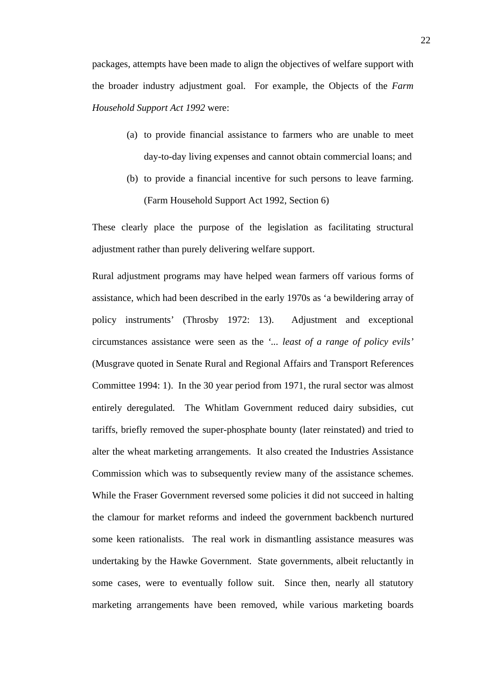packages, attempts have been made to align the objectives of welfare support with the broader industry adjustment goal. For example, the Objects of the *Farm Household Support Act 1992* were:

- (a) to provide financial assistance to farmers who are unable to meet day-to-day living expenses and cannot obtain commercial loans; and
- (b) to provide a financial incentive for such persons to leave farming. (Farm Household Support Act 1992, Section 6)

These clearly place the purpose of the legislation as facilitating structural adjustment rather than purely delivering welfare support.

Rural adjustment programs may have helped wean farmers off various forms of assistance, which had been described in the early 1970s as 'a bewildering array of policy instruments' (Throsby 1972: 13). Adjustment and exceptional circumstances assistance were seen as the *'... least of a range of policy evils'* (Musgrave quoted in Senate Rural and Regional Affairs and Transport References Committee 1994: 1). In the 30 year period from 1971, the rural sector was almost entirely deregulated. The Whitlam Government reduced dairy subsidies, cut tariffs, briefly removed the super-phosphate bounty (later reinstated) and tried to alter the wheat marketing arrangements. It also created the Industries Assistance Commission which was to subsequently review many of the assistance schemes. While the Fraser Government reversed some policies it did not succeed in halting the clamour for market reforms and indeed the government backbench nurtured some keen rationalists. The real work in dismantling assistance measures was undertaking by the Hawke Government. State governments, albeit reluctantly in some cases, were to eventually follow suit. Since then, nearly all statutory marketing arrangements have been removed, while various marketing boards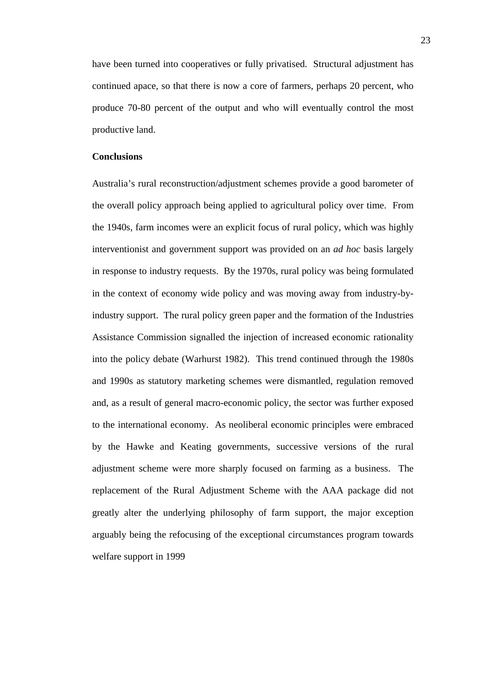have been turned into cooperatives or fully privatised. Structural adjustment has continued apace, so that there is now a core of farmers, perhaps 20 percent, who produce 70-80 percent of the output and who will eventually control the most productive land.

#### **Conclusions**

Australia's rural reconstruction/adjustment schemes provide a good barometer of the overall policy approach being applied to agricultural policy over time. From the 1940s, farm incomes were an explicit focus of rural policy, which was highly interventionist and government support was provided on an *ad hoc* basis largely in response to industry requests. By the 1970s, rural policy was being formulated in the context of economy wide policy and was moving away from industry-byindustry support. The rural policy green paper and the formation of the Industries Assistance Commission signalled the injection of increased economic rationality into the policy debate (Warhurst 1982). This trend continued through the 1980s and 1990s as statutory marketing schemes were dismantled, regulation removed and, as a result of general macro-economic policy, the sector was further exposed to the international economy. As neoliberal economic principles were embraced by the Hawke and Keating governments, successive versions of the rural adjustment scheme were more sharply focused on farming as a business. The replacement of the Rural Adjustment Scheme with the AAA package did not greatly alter the underlying philosophy of farm support, the major exception arguably being the refocusing of the exceptional circumstances program towards welfare support in 1999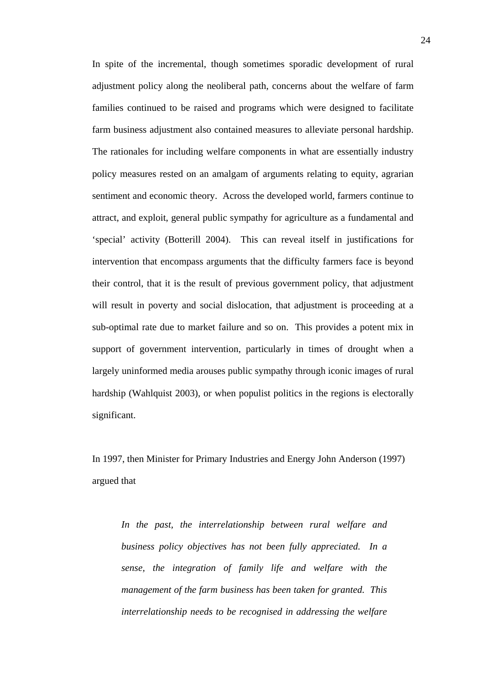In spite of the incremental, though sometimes sporadic development of rural adjustment policy along the neoliberal path, concerns about the welfare of farm families continued to be raised and programs which were designed to facilitate farm business adjustment also contained measures to alleviate personal hardship. The rationales for including welfare components in what are essentially industry policy measures rested on an amalgam of arguments relating to equity, agrarian sentiment and economic theory. Across the developed world, farmers continue to attract, and exploit, general public sympathy for agriculture as a fundamental and 'special' activity (Botterill 2004). This can reveal itself in justifications for intervention that encompass arguments that the difficulty farmers face is beyond their control, that it is the result of previous government policy, that adjustment will result in poverty and social dislocation, that adjustment is proceeding at a sub-optimal rate due to market failure and so on. This provides a potent mix in support of government intervention, particularly in times of drought when a largely uninformed media arouses public sympathy through iconic images of rural hardship (Wahlquist 2003), or when populist politics in the regions is electorally significant.

In 1997, then Minister for Primary Industries and Energy John Anderson (1997) argued that

*In the past, the interrelationship between rural welfare and business policy objectives has not been fully appreciated. In a sense, the integration of family life and welfare with the management of the farm business has been taken for granted. This interrelationship needs to be recognised in addressing the welfare*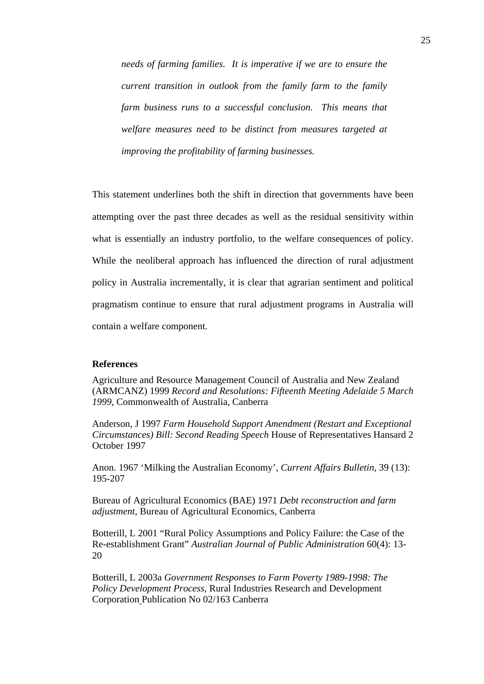*needs of farming families. It is imperative if we are to ensure the current transition in outlook from the family farm to the family farm business runs to a successful conclusion. This means that welfare measures need to be distinct from measures targeted at improving the profitability of farming businesses.*

This statement underlines both the shift in direction that governments have been attempting over the past three decades as well as the residual sensitivity within what is essentially an industry portfolio, to the welfare consequences of policy. While the neoliberal approach has influenced the direction of rural adjustment policy in Australia incrementally, it is clear that agrarian sentiment and political pragmatism continue to ensure that rural adjustment programs in Australia will contain a welfare component.

#### **References**

Agriculture and Resource Management Council of Australia and New Zealand (ARMCANZ) 1999 *Record and Resolutions: Fifteenth Meeting Adelaide 5 March 1999*, Commonwealth of Australia, Canberra

Anderson, J 1997 *Farm Household Support Amendment (Restart and Exceptional Circumstances) Bill: Second Reading Speech* House of Representatives Hansard 2 October 1997

Anon. 1967 'Milking the Australian Economy', *Current Affairs Bulletin*, 39 (13): 195-207

Bureau of Agricultural Economics (BAE) 1971 *Debt reconstruction and farm adjustment*, Bureau of Agricultural Economics, Canberra

Botterill, L 2001 "Rural Policy Assumptions and Policy Failure: the Case of the Re-establishment Grant" *Australian Journal of Public Administration* 60(4): 13- 20

Botterill, L 2003a *Government Responses to Farm Poverty 1989-1998: The Policy Development Process,* Rural Industries Research and Development Corporation Publication No 02/163 Canberra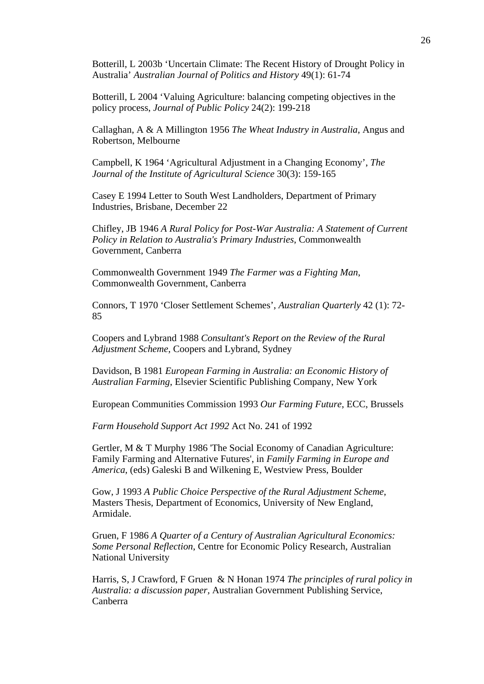Botterill, L 2003b 'Uncertain Climate: The Recent History of Drought Policy in Australia' *Australian Journal of Politics and History* 49(1): 61-74

Botterill, L 2004 'Valuing Agriculture: balancing competing objectives in the policy process, *Journal of Public Policy* 24(2): 199-218

Callaghan, A & A Millington 1956 *The Wheat Industry in Australia*, Angus and Robertson, Melbourne

Campbell, K 1964 'Agricultural Adjustment in a Changing Economy', *The Journal of the Institute of Agricultural Science* 30(3): 159-165

Casey E 1994 Letter to South West Landholders, Department of Primary Industries, Brisbane, December 22

Chifley, JB 1946 *A Rural Policy for Post-War Australia: A Statement of Current Policy in Relation to Australia's Primary Industries*, Commonwealth Government, Canberra

Commonwealth Government 1949 *The Farmer was a Fighting Man*, Commonwealth Government, Canberra

Connors, T 1970 'Closer Settlement Schemes', *Australian Quarterly* 42 (1): 72- 85

Coopers and Lybrand 1988 *Consultant's Report on the Review of the Rural Adjustment Scheme*, Coopers and Lybrand, Sydney

Davidson, B 1981 *European Farming in Australia: an Economic History of Australian Farming*, Elsevier Scientific Publishing Company, New York

European Communities Commission 1993 *Our Farming Future*, ECC, Brussels

*Farm Household Support Act 1992* Act No. 241 of 1992

Gertler, M & T Murphy 1986 'The Social Economy of Canadian Agriculture: Family Farming and Alternative Futures', in *Family Farming in Europe and America*, (eds) Galeski B and Wilkening E, Westview Press, Boulder

Gow, J 1993 *A Public Choice Perspective of the Rural Adjustment Scheme*, Masters Thesis, Department of Economics, University of New England, Armidale.

Gruen, F 1986 *A Quarter of a Century of Australian Agricultural Economics: Some Personal Reflection*, Centre for Economic Policy Research, Australian National University

Harris, S, J Crawford, F Gruen & N Honan 1974 *The principles of rural policy in Australia: a discussion paper,* Australian Government Publishing Service, Canberra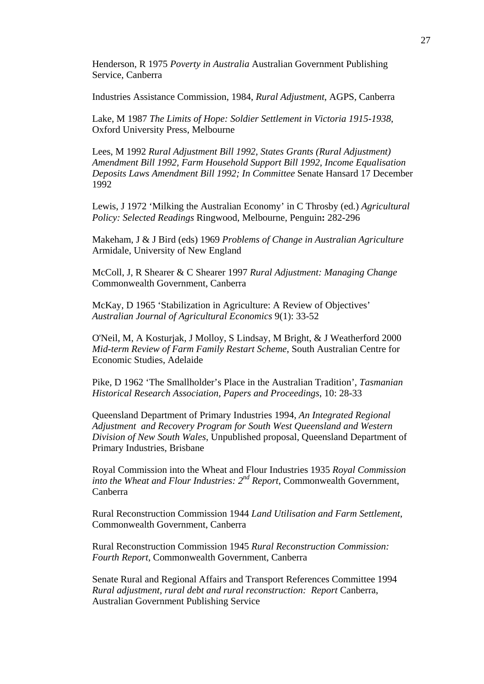Henderson, R 1975 *Poverty in Australia* Australian Government Publishing Service, Canberra

Industries Assistance Commission, 1984, *Rural Adjustment*, AGPS, Canberra

Lake, M 1987 *The Limits of Hope: Soldier Settlement in Victoria 1915-1938*, Oxford University Press, Melbourne

Lees, M 1992 *Rural Adjustment Bill 1992, States Grants (Rural Adjustment) Amendment Bill 1992, Farm Household Support Bill 1992, Income Equalisation Deposits Laws Amendment Bill 1992; In Committee* Senate Hansard 17 December 1992

Lewis, J 1972 'Milking the Australian Economy' in C Throsby (ed.) *Agricultural Policy: Selected Readings* Ringwood, Melbourne, Penguin**:** 282-296

Makeham, J & J Bird (eds) 1969 *Problems of Change in Australian Agriculture* Armidale, University of New England

McColl, J, R Shearer & C Shearer 1997 *Rural Adjustment: Managing Change* Commonwealth Government, Canberra

McKay, D 1965 'Stabilization in Agriculture: A Review of Objectives' *Australian Journal of Agricultural Economics* 9(1): 33-52

O'Neil, M, A Kosturjak, J Molloy, S Lindsay, M Bright, & J Weatherford 2000 *Mid-term Review of Farm Family Restart Scheme*, South Australian Centre for Economic Studies, Adelaide

Pike, D 1962 'The Smallholder's Place in the Australian Tradition', *Tasmanian Historical Research Association, Papers and Proceedings*, 10: 28-33

Queensland Department of Primary Industries 1994, *An Integrated Regional Adjustment and Recovery Program for South West Queensland and Western Division of New South Wales*, Unpublished proposal, Queensland Department of Primary Industries, Brisbane

Royal Commission into the Wheat and Flour Industries 1935 *Royal Commission into the Wheat and Flour Industries: 2nd Report*, Commonwealth Government, Canberra

Rural Reconstruction Commission 1944 *Land Utilisation and Farm Settlement*, Commonwealth Government, Canberra

Rural Reconstruction Commission 1945 *Rural Reconstruction Commission: Fourth Report*, Commonwealth Government, Canberra

Senate Rural and Regional Affairs and Transport References Committee 1994 *Rural adjustment, rural debt and rural reconstruction: Report* Canberra, Australian Government Publishing Service